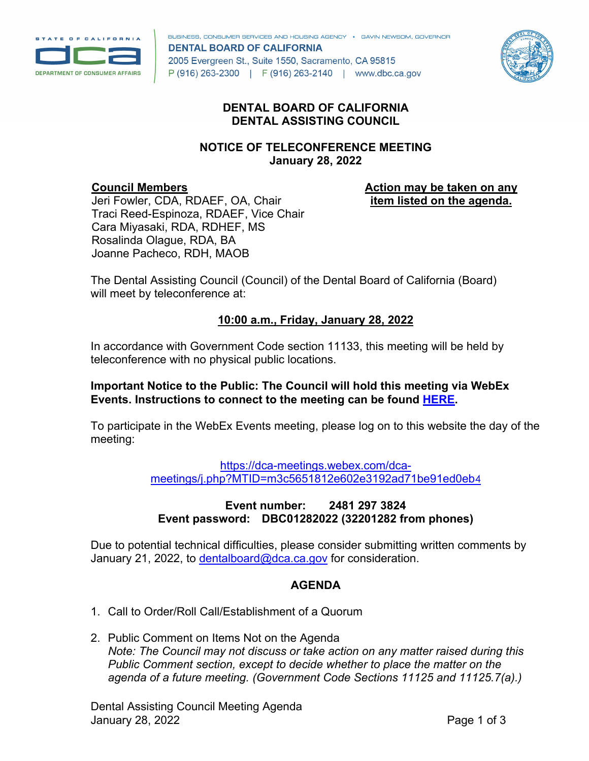

BUSINESS, CONSUMER SERVICES AND HOUSING AGENCY . GAVIN NEWSOM, GOVERNOR **DENTAL BOARD OF CALIFORNIA** 2005 Evergreen St., Suite 1550, Sacramento, CA 95815 P (916) 263-2300 | F (916) 263-2140 | www.dbc.ca.gov



### **DENTAL BOARD OF CALIFORNIA DENTAL ASSISTING COUNCIL**

### **NOTICE OF TELECONFERENCE MEETING January 28, 2022**

#### **Council Members**

**Action may be taken on any item listed on the agenda.**

Jeri Fowler, CDA, RDAEF, OA, Chair Traci Reed-Espinoza, RDAEF, Vice Chair Cara Miyasaki, RDA, RDHEF, MS Rosalinda Olague, RDA, BA Joanne Pacheco, RDH, MAOB

The Dental Assisting Council (Council) of the Dental Board of California (Board) will meet by teleconference at:

# **10:00 a.m., Friday, January 28, 2022**

In accordance with Government Code section 11133, this meeting will be held by teleconference with no physical public locations.

### **Important Notice to the Public: The Council will hold this meeting via WebEx Events. Instructions to connect to the meeting can be found [HERE.](https://dbc.ca.gov/about_us/meetings/webex_instructions.pdf)**

To participate in the WebEx Events meeting, please log on to this website the day of the meeting:

> [https://dca-meetings.webex.com/dca](https://dca-meetings.webex.com/dca-meetings/j.php?MTID=m3c5651812e602e3192ad71be91ed0eb4)[meetings/j.php?MTID=m3c5651812e602e3192ad71be91ed0eb](https://dca-meetings.webex.com/dca-meetings/j.php?MTID=m3c5651812e602e3192ad71be91ed0eb4)4

### **Event number: 2481 297 3824 Event password: DBC01282022 (32201282 from phones)**

Due to potential technical difficulties, please consider submitting written comments by January 21, 2022, to [dentalboard@dca.ca.gov](mailto:dentalboard@dca.ca.gov) for consideration.

## **AGENDA**

- 1. Call to Order/Roll Call/Establishment of a Quorum
- 2. Public Comment on Items Not on the Agenda *Note: The Council may not discuss or take action on any matter raised during this Public Comment section, except to decide whether to place the matter on the agenda of a future meeting. (Government Code Sections 11125 and 11125.7(a).)*

Dental Assisting Council Meeting Agenda January 28, 2022 **Page 1 of 3**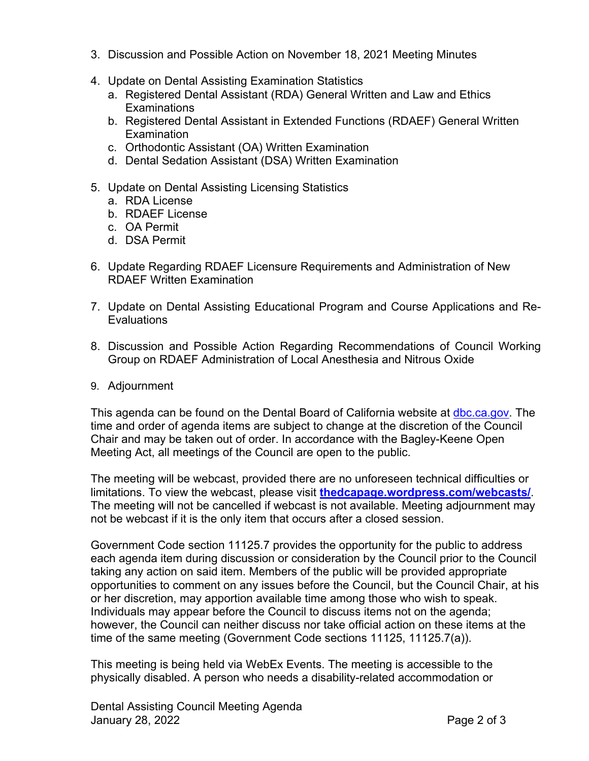- 3. Discussion and Possible Action on November 18, 2021 Meeting Minutes
- 4. Update on Dental Assisting Examination Statistics
	- a. Registered Dental Assistant (RDA) General Written and Law and Ethics **Examinations**
	- b. Registered Dental Assistant in Extended Functions (RDAEF) General Written **Examination**
	- c. Orthodontic Assistant (OA) Written Examination
	- d. Dental Sedation Assistant (DSA) Written Examination
- 5. Update on Dental Assisting Licensing Statistics
	- a. RDA License
	- b. RDAEF License
	- c. OA Permit
	- d. DSA Permit
- 6. Update Regarding RDAEF Licensure Requirements and Administration of New RDAEF Written Examination
- 7. Update on Dental Assisting Educational Program and Course Applications and Re-**Evaluations**
- 8. Discussion and Possible Action Regarding Recommendations of Council Working Group on RDAEF Administration of Local Anesthesia and Nitrous Oxide
- 9. Adjournment

This agenda can be found on the Dental Board of California website at [dbc.ca.gov.](https://dbc.ca.gov) The time and order of agenda items are subject to change at the discretion of the Council Chair and may be taken out of order. In accordance with the Bagley-Keene Open Meeting Act, all meetings of the Council are open to the public.

The meeting will be webcast, provided there are no unforeseen technical difficulties or limitations. To view the webcast, please visit **[thedcapage.wordpress.com/webcasts/](https://thedcapage.wordpress.com/webcasts/)**. The meeting will not be cancelled if webcast is not available. Meeting adjournment may not be webcast if it is the only item that occurs after a closed session.

Government Code section 11125.7 provides the opportunity for the public to address each agenda item during discussion or consideration by the Council prior to the Council taking any action on said item. Members of the public will be provided appropriate opportunities to comment on any issues before the Council, but the Council Chair, at his or her discretion, may apportion available time among those who wish to speak. Individuals may appear before the Council to discuss items not on the agenda; however, the Council can neither discuss nor take official action on these items at the time of the same meeting (Government Code sections 11125, 11125.7(a)).

This meeting is being held via WebEx Events. The meeting is accessible to the physically disabled. A person who needs a disability-related accommodation or